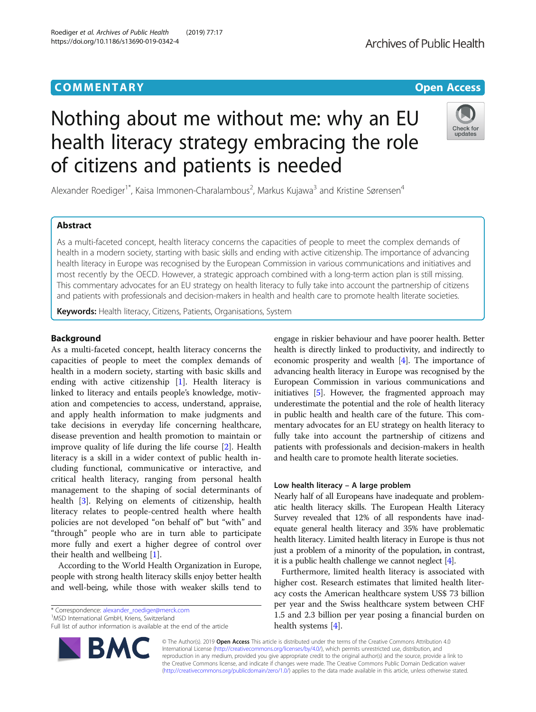# **COMMENTARY COMMENTARY Open Access**

# Nothing about me without me: why an EU health literacy strategy embracing the role of citizens and patients is needed

Alexander Roediger<sup>1\*</sup>, Kaisa Immonen-Charalambous<sup>2</sup>, Markus Kujawa<sup>3</sup> and Kristine Sørensen<sup>4</sup>

# Abstract

As a multi-faceted concept, health literacy concerns the capacities of people to meet the complex demands of health in a modern society, starting with basic skills and ending with active citizenship. The importance of advancing health literacy in Europe was recognised by the European Commission in various communications and initiatives and most recently by the OECD. However, a strategic approach combined with a long-term action plan is still missing. This commentary advocates for an EU strategy on health literacy to fully take into account the partnership of citizens and patients with professionals and decision-makers in health and health care to promote health literate societies.

Keywords: Health literacy, Citizens, Patients, Organisations, System

# Background

As a multi-faceted concept, health literacy concerns the capacities of people to meet the complex demands of health in a modern society, starting with basic skills and ending with active citizenship [\[1\]](#page-1-0). Health literacy is linked to literacy and entails people's knowledge, motivation and competencies to access, understand, appraise, and apply health information to make judgments and take decisions in everyday life concerning healthcare, disease prevention and health promotion to maintain or improve quality of life during the life course [\[2](#page-1-0)]. Health literacy is a skill in a wider context of public health including functional, communicative or interactive, and critical health literacy, ranging from personal health management to the shaping of social determinants of health [[3\]](#page-1-0). Relying on elements of citizenship, health literacy relates to people-centred health where health policies are not developed "on behalf of" but "with" and "through" people who are in turn able to participate more fully and exert a higher degree of control over their health and wellbeing [[1](#page-1-0)].

According to the World Health Organization in Europe, people with strong health literacy skills enjoy better health and well-being, while those with weaker skills tend to

\* Correspondence: [alexander\\_roediger@merck.com](mailto:alexander_roediger@merck.com) <sup>1</sup>

<sup>1</sup>MSD International GmbH, Kriens, Switzerland

Full list of author information is available at the end of the article

© The Author(s). 2019 Open Access This article is distributed under the terms of the Creative Commons Attribution 4.0 International License [\(http://creativecommons.org/licenses/by/4.0/](http://creativecommons.org/licenses/by/4.0/)), which permits unrestricted use, distribution, and reproduction in any medium, provided you give appropriate credit to the original author(s) and the source, provide a link to the Creative Commons license, and indicate if changes were made. The Creative Commons Public Domain Dedication waiver [\(http://creativecommons.org/publicdomain/zero/1.0/](http://creativecommons.org/publicdomain/zero/1.0/)) applies to the data made available in this article, unless otherwise stated.

engage in riskier behaviour and have poorer health. Better health is directly linked to productivity, and indirectly to economic prosperity and wealth [[4\]](#page-1-0). The importance of advancing health literacy in Europe was recognised by the European Commission in various communications and initiatives [\[5](#page-1-0)]. However, the fragmented approach may underestimate the potential and the role of health literacy in public health and health care of the future. This commentary advocates for an EU strategy on health literacy to fully take into account the partnership of citizens and patients with professionals and decision-makers in health and health care to promote health literate societies.

# Low health literacy – A large problem

Nearly half of all Europeans have inadequate and problematic health literacy skills. The European Health Literacy Survey revealed that 12% of all respondents have inadequate general health literacy and 35% have problematic health literacy. Limited health literacy in Europe is thus not just a problem of a minority of the population, in contrast, it is a public health challenge we cannot neglect [\[4\]](#page-1-0).

Furthermore, limited health literacy is associated with higher cost. Research estimates that limited health literacy costs the American healthcare system US\$ 73 billion per year and the Swiss healthcare system between CHF 1.5 and 2.3 billion per year posing a financial burden on health systems [\[4](#page-1-0)].



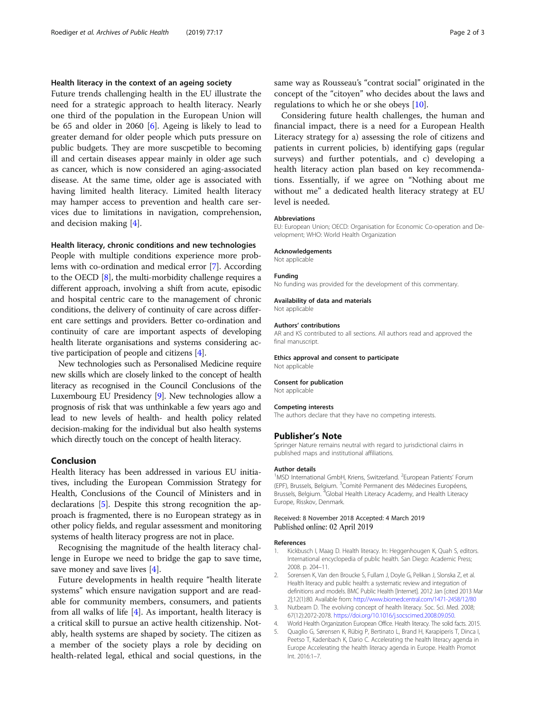# <span id="page-1-0"></span>Health literacy in the context of an ageing society

Future trends challenging health in the EU illustrate the need for a strategic approach to health literacy. Nearly one third of the population in the European Union will be 65 and older in 2060 [[6\]](#page-2-0). Ageing is likely to lead to greater demand for older people which puts pressure on public budgets. They are more suscpetible to becoming ill and certain diseases appear mainly in older age such as cancer, which is now considered an aging-associated disease. At the same time, older age is associated with having limited health literacy. Limited health literacy may hamper access to prevention and health care services due to limitations in navigation, comprehension, and decision making [4].

## Health literacy, chronic conditions and new technologies

People with multiple conditions experience more problems with co-ordination and medical error [[7\]](#page-2-0). According to the OECD [[8\]](#page-2-0), the multi-morbidity challenge requires a different approach, involving a shift from acute, episodic and hospital centric care to the management of chronic conditions, the delivery of continuity of care across different care settings and providers. Better co-ordination and continuity of care are important aspects of developing health literate organisations and systems considering active participation of people and citizens [4].

New technologies such as Personalised Medicine require new skills which are closely linked to the concept of health literacy as recognised in the Council Conclusions of the Luxembourg EU Presidency [[9\]](#page-2-0). New technologies allow a prognosis of risk that was unthinkable a few years ago and lead to new levels of health- and health policy related decision-making for the individual but also health systems which directly touch on the concept of health literacy.

# Conclusion

Health literacy has been addressed in various EU initiatives, including the European Commission Strategy for Health, Conclusions of the Council of Ministers and in declarations [5]. Despite this strong recognition the approach is fragmented, there is no European strategy as in other policy fields, and regular assessment and monitoring systems of health literacy progress are not in place.

Recognising the magnitude of the health literacy challenge in Europe we need to bridge the gap to save time, save money and save lives [4].

Future developments in health require "health literate systems" which ensure navigation support and are readable for community members, consumers, and patients from all walks of life [4]. As important, health literacy is a critical skill to pursue an active health citizenship. Notably, health systems are shaped by society. The citizen as a member of the society plays a role by deciding on health-related legal, ethical and social questions, in the same way as Rousseau's "contrat social" originated in the concept of the "citoyen" who decides about the laws and regulations to which he or she obeys [\[10\]](#page-2-0).

Considering future health challenges, the human and financial impact, there is a need for a European Health Literacy strategy for a) assessing the role of citizens and patients in current policies, b) identifying gaps (regular surveys) and further potentials, and c) developing a health literacy action plan based on key recommendations. Essentially, if we agree on "Nothing about me without me" a dedicated health literacy strategy at EU level is needed.

#### Abbreviations

EU: European Union; OECD: Organisation for Economic Co-operation and Development; WHO: World Health Organization

#### Acknowledgements

Not applicable

#### Funding

No funding was provided for the development of this commentary.

#### Availability of data and materials Not applicable

#### Authors' contributions

AR and KS contributed to all sections. All authors read and approved the final manuscript.

## Ethics approval and consent to participate

# Consent for publication

Not applicable

Not applicable

#### Competing interests

The authors declare that they have no competing interests.

### Publisher's Note

Springer Nature remains neutral with regard to jurisdictional claims in published maps and institutional affiliations.

#### Author details

<sup>1</sup>MSD International GmbH, Kriens, Switzerland. <sup>2</sup>European Patients' Forum (EPF), Brussels, Belgium. <sup>3</sup> Comité Permanent des Médecines Européens, Brussels, Belgium. <sup>4</sup>Global Health Literacy Academy, and Health Literacy Europe, Risskov, Denmark.

#### Received: 8 November 2018 Accepted: 4 March 2019 Published online: 02 April 2019

#### References

- 1. Kickbusch I, Maag D. Health literacy. In: Heggenhougen K, Quah S, editors. International encyclopedia of public health. San Diego: Academic Press; 2008. p. 204–11.
- 2. Sorensen K, Van den Broucke S, Fullam J, Doyle G, Pelikan J, Slonska Z, et al. Health literacy and public health: a systematic review and integration of definitions and models. BMC Public Health [Internet]. 2012 Jan [cited 2013 Mar 2];12(1):80. Available from: <http://www.biomedcentral.com/1471-2458/12/80>
- 3. Nutbeam D. The evolving concept of health literacy. Soc. Sci. Med. 2008; 67(12):2072-2078. [https://doi.org/10.1016/j.socscimed.2008.09.050.](https://doi.org/10.1016/j.socscimed.2008.09.050)
- 4. World Health Organization European Office. Health literacy. The solid facts. 2015.
- 5. Quaglio G, Sørensen K, Rübig P, Bertinato L, Brand H, Karapiperis T, Dinca I, Peetso T, Kadenbach K, Dario C. Accelerating the health literacy agenda in Europe Accelerating the health literacy agenda in Europe. Health Promot Int. 2016:1–7.